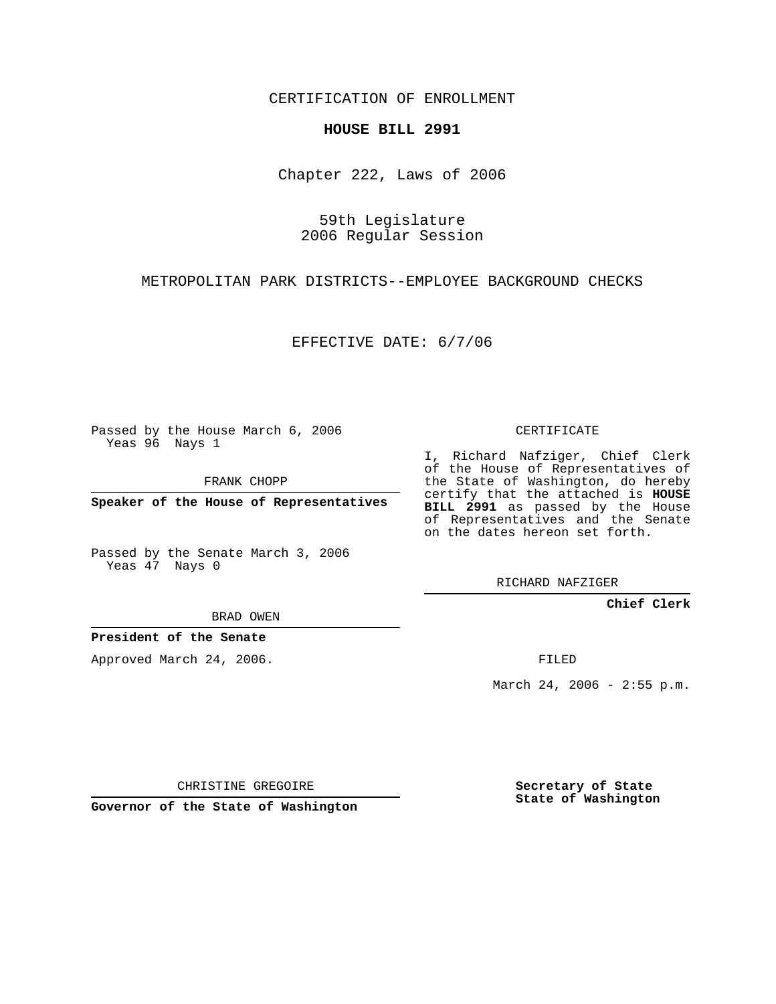CERTIFICATION OF ENROLLMENT

## **HOUSE BILL 2991**

Chapter 222, Laws of 2006

59th Legislature 2006 Regular Session

METROPOLITAN PARK DISTRICTS--EMPLOYEE BACKGROUND CHECKS

EFFECTIVE DATE: 6/7/06

Passed by the House March 6, 2006 Yeas 96 Nays 1

FRANK CHOPP

**Speaker of the House of Representatives**

Passed by the Senate March 3, 2006 Yeas 47 Nays 0

CERTIFICATE

I, Richard Nafziger, Chief Clerk of the House of Representatives of the State of Washington, do hereby certify that the attached is **HOUSE BILL 2991** as passed by the House of Representatives and the Senate on the dates hereon set forth.

RICHARD NAFZIGER

**Chief Clerk**

BRAD OWEN

**President of the Senate**

Approved March 24, 2006.

FILED

March 24, 2006 - 2:55 p.m.

CHRISTINE GREGOIRE

**Governor of the State of Washington**

**Secretary of State State of Washington**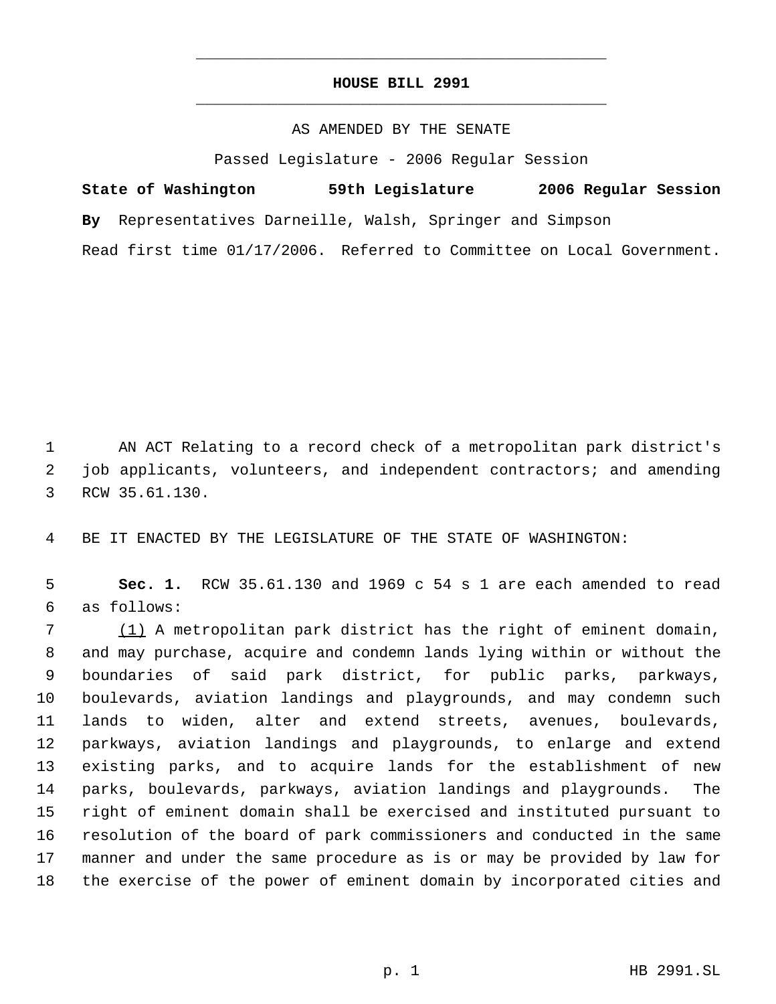## **HOUSE BILL 2991** \_\_\_\_\_\_\_\_\_\_\_\_\_\_\_\_\_\_\_\_\_\_\_\_\_\_\_\_\_\_\_\_\_\_\_\_\_\_\_\_\_\_\_\_\_

\_\_\_\_\_\_\_\_\_\_\_\_\_\_\_\_\_\_\_\_\_\_\_\_\_\_\_\_\_\_\_\_\_\_\_\_\_\_\_\_\_\_\_\_\_

## AS AMENDED BY THE SENATE

Passed Legislature - 2006 Regular Session

**State of Washington 59th Legislature 2006 Regular Session By** Representatives Darneille, Walsh, Springer and Simpson Read first time 01/17/2006. Referred to Committee on Local Government.

 AN ACT Relating to a record check of a metropolitan park district's job applicants, volunteers, and independent contractors; and amending RCW 35.61.130.

BE IT ENACTED BY THE LEGISLATURE OF THE STATE OF WASHINGTON:

 **Sec. 1.** RCW 35.61.130 and 1969 c 54 s 1 are each amended to read as follows:

 (1) A metropolitan park district has the right of eminent domain, and may purchase, acquire and condemn lands lying within or without the boundaries of said park district, for public parks, parkways, boulevards, aviation landings and playgrounds, and may condemn such lands to widen, alter and extend streets, avenues, boulevards, parkways, aviation landings and playgrounds, to enlarge and extend existing parks, and to acquire lands for the establishment of new parks, boulevards, parkways, aviation landings and playgrounds. The right of eminent domain shall be exercised and instituted pursuant to resolution of the board of park commissioners and conducted in the same manner and under the same procedure as is or may be provided by law for the exercise of the power of eminent domain by incorporated cities and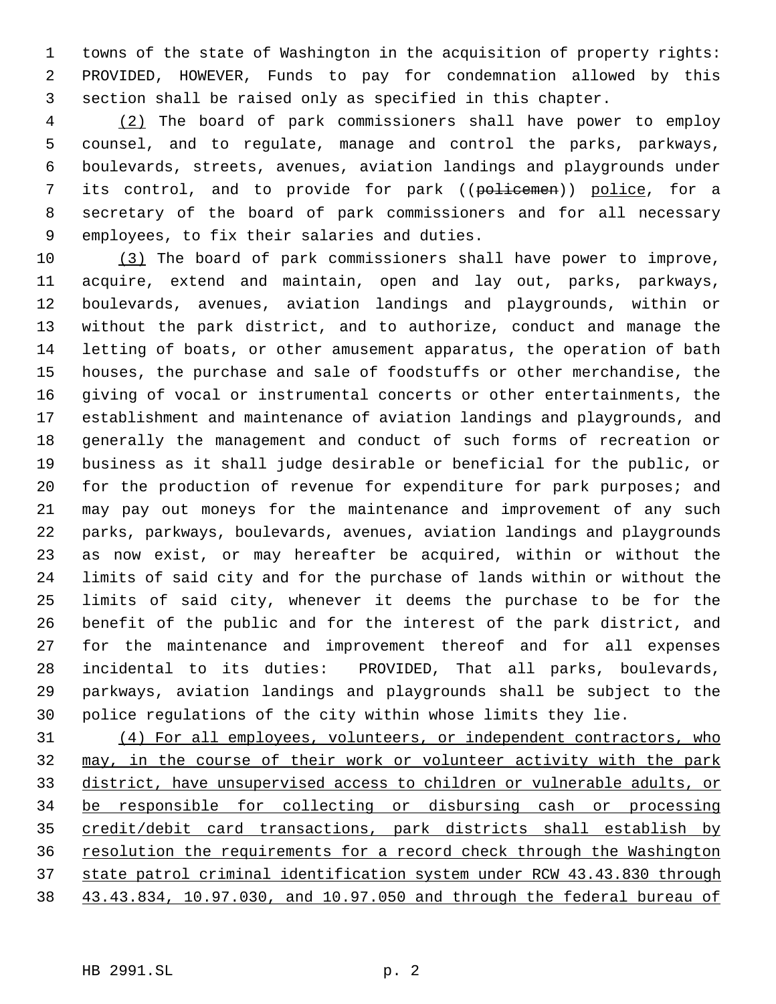towns of the state of Washington in the acquisition of property rights: PROVIDED, HOWEVER, Funds to pay for condemnation allowed by this section shall be raised only as specified in this chapter.

 (2) The board of park commissioners shall have power to employ counsel, and to regulate, manage and control the parks, parkways, boulevards, streets, avenues, aviation landings and playgrounds under 7 its control, and to provide for park ((policemen)) police, for a secretary of the board of park commissioners and for all necessary employees, to fix their salaries and duties.

 (3) The board of park commissioners shall have power to improve, acquire, extend and maintain, open and lay out, parks, parkways, boulevards, avenues, aviation landings and playgrounds, within or without the park district, and to authorize, conduct and manage the letting of boats, or other amusement apparatus, the operation of bath houses, the purchase and sale of foodstuffs or other merchandise, the giving of vocal or instrumental concerts or other entertainments, the establishment and maintenance of aviation landings and playgrounds, and generally the management and conduct of such forms of recreation or business as it shall judge desirable or beneficial for the public, or for the production of revenue for expenditure for park purposes; and may pay out moneys for the maintenance and improvement of any such parks, parkways, boulevards, avenues, aviation landings and playgrounds as now exist, or may hereafter be acquired, within or without the limits of said city and for the purchase of lands within or without the limits of said city, whenever it deems the purchase to be for the benefit of the public and for the interest of the park district, and for the maintenance and improvement thereof and for all expenses incidental to its duties: PROVIDED, That all parks, boulevards, parkways, aviation landings and playgrounds shall be subject to the police regulations of the city within whose limits they lie.

 (4) For all employees, volunteers, or independent contractors, who may, in the course of their work or volunteer activity with the park district, have unsupervised access to children or vulnerable adults, or be responsible for collecting or disbursing cash or processing credit/debit card transactions, park districts shall establish by resolution the requirements for a record check through the Washington state patrol criminal identification system under RCW 43.43.830 through 43.43.834, 10.97.030, and 10.97.050 and through the federal bureau of